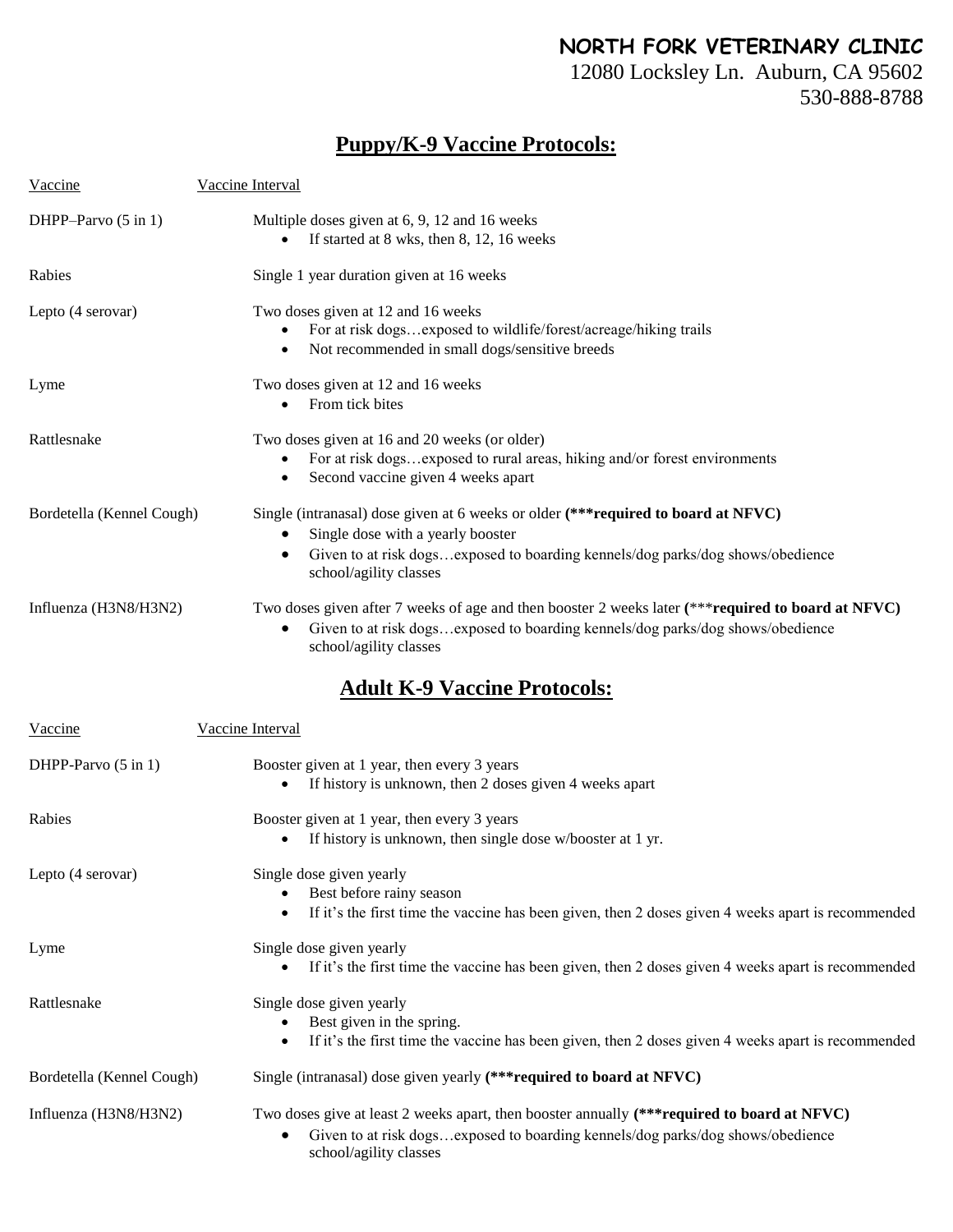## **NORTH FORK VETERINARY CLINIC**

12080 Locksley Ln. Auburn, CA 95602 530-888-8788

## **Puppy/K-9 Vaccine Protocols:**

| Vaccine                   | Vaccine Interval                                                                                                                                                                                                                    |  |  |  |
|---------------------------|-------------------------------------------------------------------------------------------------------------------------------------------------------------------------------------------------------------------------------------|--|--|--|
| DHPP-Parvo (5 in 1)       | Multiple doses given at 6, 9, 12 and 16 weeks<br>If started at 8 wks, then 8, 12, 16 weeks                                                                                                                                          |  |  |  |
| Rabies                    | Single 1 year duration given at 16 weeks                                                                                                                                                                                            |  |  |  |
| Lepto (4 serovar)         | Two doses given at 12 and 16 weeks<br>For at risk dogsexposed to wildlife/forest/acreage/hiking trails<br>Not recommended in small dogs/sensitive breeds                                                                            |  |  |  |
| Lyme                      | Two doses given at 12 and 16 weeks<br>From tick bites                                                                                                                                                                               |  |  |  |
| Rattlesnake               | Two doses given at 16 and 20 weeks (or older)<br>For at risk dogsexposed to rural areas, hiking and/or forest environments<br>Second vaccine given 4 weeks apart<br>$\bullet$                                                       |  |  |  |
| Bordetella (Kennel Cough) | Single (intranasal) dose given at 6 weeks or older (*** required to board at NFVC)<br>Single dose with a yearly booster<br>Given to at risk dogsexposed to boarding kennels/dog parks/dog shows/obedience<br>school/agility classes |  |  |  |
| Influenza (H3N8/H3N2)     | Two doses given after 7 weeks of age and then booster 2 weeks later (*** required to board at NFVC)<br>Given to at risk dogsexposed to boarding kennels/dog parks/dog shows/obedience<br>school/agility classes                     |  |  |  |
|                           | <b>Adult K-9 Vaccine Protocols:</b>                                                                                                                                                                                                 |  |  |  |
| Vaccine                   | Vaccine Interval                                                                                                                                                                                                                    |  |  |  |
| DHPP-Parvo (5 in 1)       | Booster given at 1 year, then every 3 years<br>If history is unknown, then 2 doses given 4 weeks apart                                                                                                                              |  |  |  |
| Rabies                    | Booster given at 1 year, then every 3 years<br>If history is unknown, then single dose w/booster at 1 yr.<br>$\bullet$                                                                                                              |  |  |  |
| Lepto (4 serovar)         | Single dose given yearly<br>Best before rainy season<br>If it's the first time the vaccine has been given, then 2 doses given 4 weeks apart is recommended<br>$\bullet$                                                             |  |  |  |
| Lyme                      | Single dose given yearly<br>If it's the first time the vaccine has been given, then 2 doses given 4 weeks apart is recommended                                                                                                      |  |  |  |
| Rattlesnake               | Single dose given yearly<br>Best given in the spring.<br>If it's the first time the vaccine has been given, then 2 doses given 4 weeks apart is recommended<br>$\bullet$                                                            |  |  |  |
| Bordetella (Kennel Cough) | Single (intranasal) dose given yearly (*** required to board at NFVC)                                                                                                                                                               |  |  |  |
| Influenza (H3N8/H3N2)     | Two doses give at least 2 weeks apart, then booster annually (***required to board at NFVC)<br>Given to at risk dogsexposed to boarding kennels/dog parks/dog shows/obedience<br>school/agility classes                             |  |  |  |